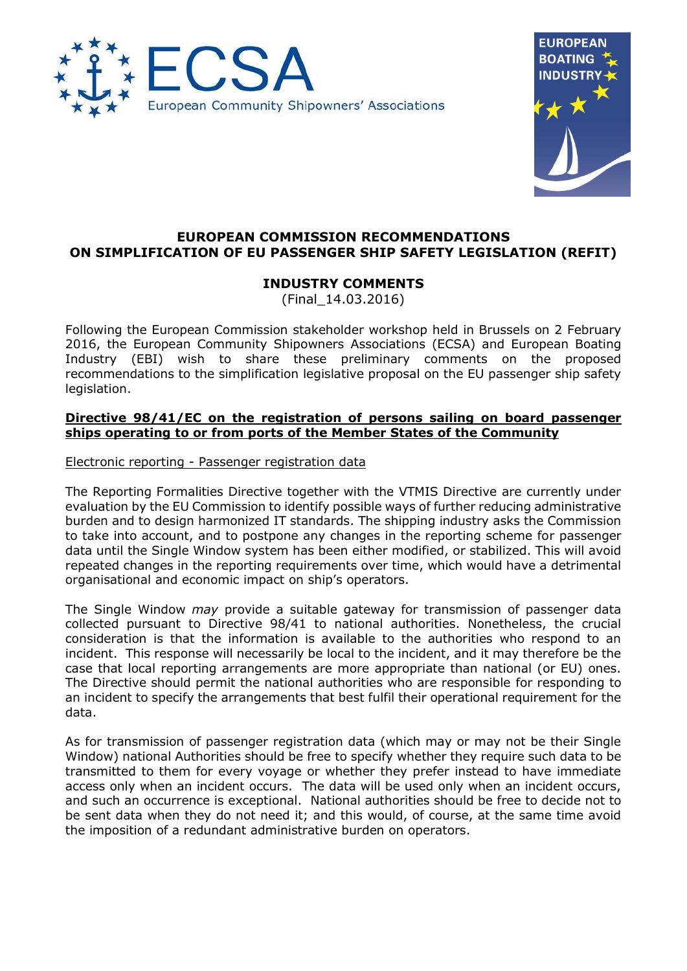



# **EUROPEAN COMMISSION RECOMMENDATIONS ON SIMPLIFICATION OF EU PASSENGER SHIP SAFETY LEGISLATION (REFIT)**

# **INDUSTRY COMMENTS**

(Final\_14.03.2016)

Following the European Commission stakeholder workshop held in Brussels on 2 February 2016, the European Community Shipowners Associations (ECSA) and European Boating Industry (EBI) wish to share these preliminary comments on the proposed recommendations to the simplification legislative proposal on the EU passenger ship safety legislation.

# **Directive 98/41/EC on the registration of persons sailing on board passenger ships operating to or from ports of the Member States of the Community**

Electronic reporting - Passenger registration data

The Reporting Formalities Directive together with the VTMIS Directive are currently under evaluation by the EU Commission to identify possible ways of further reducing administrative burden and to design harmonized IT standards. The shipping industry asks the Commission to take into account, and to postpone any changes in the reporting scheme for passenger data until the Single Window system has been either modified, or stabilized. This will avoid repeated changes in the reporting requirements over time, which would have a detrimental organisational and economic impact on ship's operators.

The Single Window *may* provide a suitable gateway for transmission of passenger data collected pursuant to Directive 98/41 to national authorities. Nonetheless, the crucial consideration is that the information is available to the authorities who respond to an incident. This response will necessarily be local to the incident, and it may therefore be the case that local reporting arrangements are more appropriate than national (or EU) ones. The Directive should permit the national authorities who are responsible for responding to an incident to specify the arrangements that best fulfil their operational requirement for the data.

As for transmission of passenger registration data (which may or may not be their Single Window) national Authorities should be free to specify whether they require such data to be transmitted to them for every voyage or whether they prefer instead to have immediate access only when an incident occurs. The data will be used only when an incident occurs, and such an occurrence is exceptional. National authorities should be free to decide not to be sent data when they do not need it; and this would, of course, at the same time avoid the imposition of a redundant administrative burden on operators.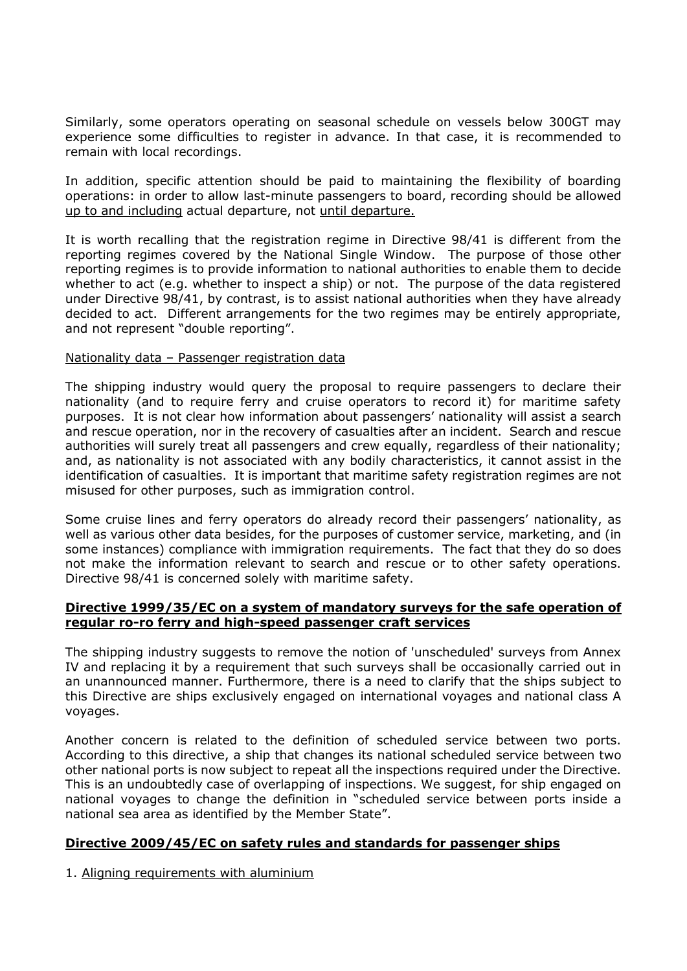Similarly, some operators operating on seasonal schedule on vessels below 300GT may experience some difficulties to register in advance. In that case, it is recommended to remain with local recordings.

In addition, specific attention should be paid to maintaining the flexibility of boarding operations: in order to allow last-minute passengers to board, recording should be allowed up to and including actual departure, not until departure.

It is worth recalling that the registration regime in Directive 98/41 is different from the reporting regimes covered by the National Single Window. The purpose of those other reporting regimes is to provide information to national authorities to enable them to decide whether to act (e.g. whether to inspect a ship) or not. The purpose of the data registered under Directive 98/41, by contrast, is to assist national authorities when they have already decided to act. Different arrangements for the two regimes may be entirely appropriate, and not represent "double reporting".

#### Nationality data – Passenger registration data

The shipping industry would query the proposal to require passengers to declare their nationality (and to require ferry and cruise operators to record it) for maritime safety purposes. It is not clear how information about passengers' nationality will assist a search and rescue operation, nor in the recovery of casualties after an incident. Search and rescue authorities will surely treat all passengers and crew equally, regardless of their nationality; and, as nationality is not associated with any bodily characteristics, it cannot assist in the identification of casualties. It is important that maritime safety registration regimes are not misused for other purposes, such as immigration control.

Some cruise lines and ferry operators do already record their passengers' nationality, as well as various other data besides, for the purposes of customer service, marketing, and (in some instances) compliance with immigration requirements. The fact that they do so does not make the information relevant to search and rescue or to other safety operations. Directive 98/41 is concerned solely with maritime safety.

#### **Directive 1999/35/EC on a system of mandatory surveys for the safe operation of regular ro-ro ferry and high-speed passenger craft services**

The shipping industry suggests to remove the notion of 'unscheduled' surveys from Annex IV and replacing it by a requirement that such surveys shall be occasionally carried out in an unannounced manner. Furthermore, there is a need to clarify that the ships subject to this Directive are ships exclusively engaged on international voyages and national class A voyages.

Another concern is related to the definition of scheduled service between two ports. According to this directive, a ship that changes its national scheduled service between two other national ports is now subject to repeat all the inspections required under the Directive. This is an undoubtedly case of overlapping of inspections. We suggest, for ship engaged on national voyages to change the definition in "scheduled service between ports inside a national sea area as identified by the Member State".

# **Directive 2009/45/EC on safety rules and standards for passenger ships**

1. Aligning requirements with aluminium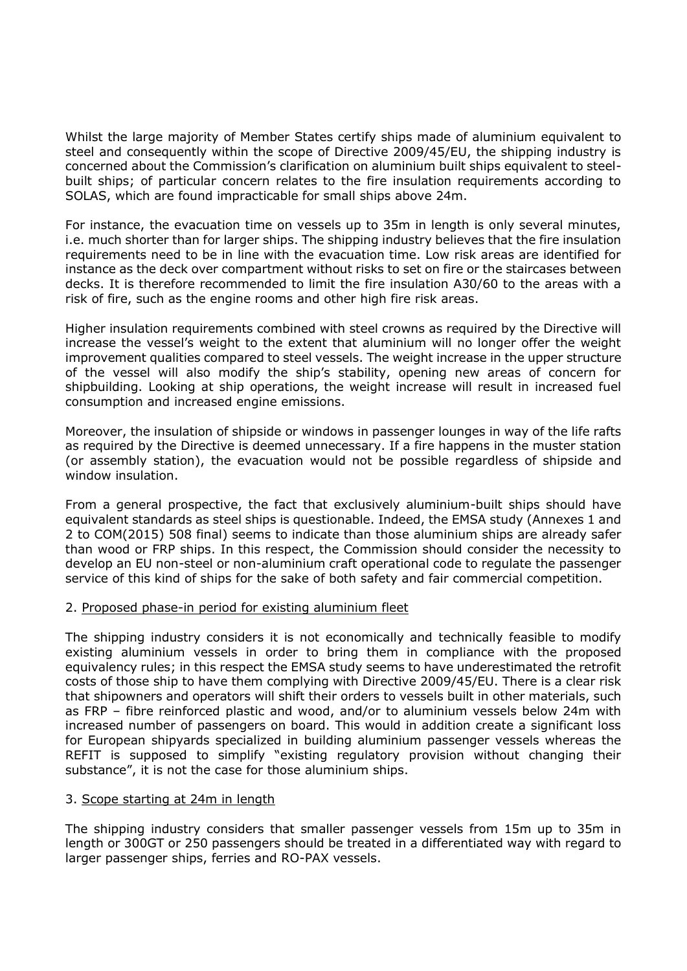Whilst the large majority of Member States certify ships made of aluminium equivalent to steel and consequently within the scope of Directive 2009/45/EU, the shipping industry is concerned about the Commission's clarification on aluminium built ships equivalent to steelbuilt ships; of particular concern relates to the fire insulation requirements according to SOLAS, which are found impracticable for small ships above 24m.

For instance, the evacuation time on vessels up to 35m in length is only several minutes, i.e. much shorter than for larger ships. The shipping industry believes that the fire insulation requirements need to be in line with the evacuation time. Low risk areas are identified for instance as the deck over compartment without risks to set on fire or the staircases between decks. It is therefore recommended to limit the fire insulation A30/60 to the areas with a risk of fire, such as the engine rooms and other high fire risk areas.

Higher insulation requirements combined with steel crowns as required by the Directive will increase the vessel's weight to the extent that aluminium will no longer offer the weight improvement qualities compared to steel vessels. The weight increase in the upper structure of the vessel will also modify the ship's stability, opening new areas of concern for shipbuilding. Looking at ship operations, the weight increase will result in increased fuel consumption and increased engine emissions.

Moreover, the insulation of shipside or windows in passenger lounges in way of the life rafts as required by the Directive is deemed unnecessary. If a fire happens in the muster station (or assembly station), the evacuation would not be possible regardless of shipside and window insulation.

From a general prospective, the fact that exclusively aluminium-built ships should have equivalent standards as steel ships is questionable. Indeed, the EMSA study (Annexes 1 and 2 to COM(2015) 508 final) seems to indicate than those aluminium ships are already safer than wood or FRP ships. In this respect, the Commission should consider the necessity to develop an EU non-steel or non-aluminium craft operational code to regulate the passenger service of this kind of ships for the sake of both safety and fair commercial competition.

# 2. Proposed phase-in period for existing aluminium fleet

The shipping industry considers it is not economically and technically feasible to modify existing aluminium vessels in order to bring them in compliance with the proposed equivalency rules; in this respect the EMSA study seems to have underestimated the retrofit costs of those ship to have them complying with Directive 2009/45/EU. There is a clear risk that shipowners and operators will shift their orders to vessels built in other materials, such as FRP – fibre reinforced plastic and wood, and/or to aluminium vessels below 24m with increased number of passengers on board. This would in addition create a significant loss for European shipyards specialized in building aluminium passenger vessels whereas the REFIT is supposed to simplify "existing regulatory provision without changing their substance", it is not the case for those aluminium ships.

# 3. Scope starting at 24m in length

The shipping industry considers that smaller passenger vessels from 15m up to 35m in length or 300GT or 250 passengers should be treated in a differentiated way with regard to larger passenger ships, ferries and RO-PAX vessels.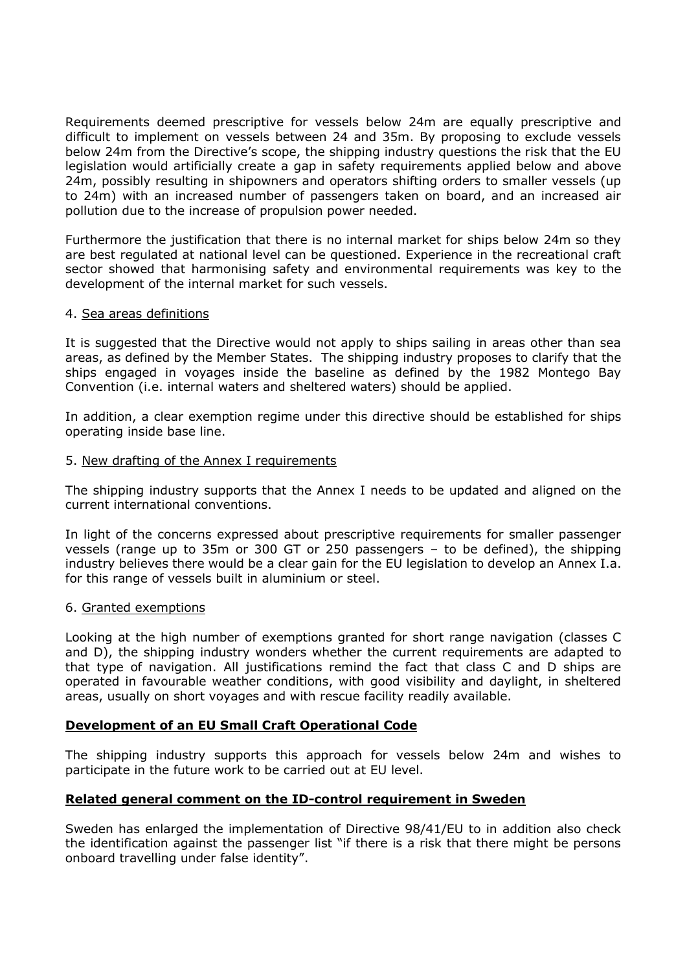Requirements deemed prescriptive for vessels below 24m are equally prescriptive and difficult to implement on vessels between 24 and 35m. By proposing to exclude vessels below 24m from the Directive's scope, the shipping industry questions the risk that the EU legislation would artificially create a gap in safety requirements applied below and above 24m, possibly resulting in shipowners and operators shifting orders to smaller vessels (up to 24m) with an increased number of passengers taken on board, and an increased air pollution due to the increase of propulsion power needed.

Furthermore the justification that there is no internal market for ships below 24m so they are best regulated at national level can be questioned. Experience in the recreational craft sector showed that harmonising safety and environmental requirements was key to the development of the internal market for such vessels.

#### 4. Sea areas definitions

It is suggested that the Directive would not apply to ships sailing in areas other than sea areas, as defined by the Member States. The shipping industry proposes to clarify that the ships engaged in voyages inside the baseline as defined by the 1982 Montego Bay Convention (i.e. internal waters and sheltered waters) should be applied.

In addition, a clear exemption regime under this directive should be established for ships operating inside base line.

#### 5. New drafting of the Annex I requirements

The shipping industry supports that the Annex I needs to be updated and aligned on the current international conventions.

In light of the concerns expressed about prescriptive requirements for smaller passenger vessels (range up to 35m or 300 GT or 250 passengers – to be defined), the shipping industry believes there would be a clear gain for the EU legislation to develop an Annex I.a. for this range of vessels built in aluminium or steel.

#### 6. Granted exemptions

Looking at the high number of exemptions granted for short range navigation (classes C and D), the shipping industry wonders whether the current requirements are adapted to that type of navigation. All justifications remind the fact that class C and D ships are operated in favourable weather conditions, with good visibility and daylight, in sheltered areas, usually on short voyages and with rescue facility readily available.

# **Development of an EU Small Craft Operational Code**

The shipping industry supports this approach for vessels below 24m and wishes to participate in the future work to be carried out at EU level.

# **Related general comment on the ID-control requirement in Sweden**

Sweden has enlarged the implementation of Directive 98/41/EU to in addition also check the identification against the passenger list "if there is a risk that there might be persons onboard travelling under false identity".